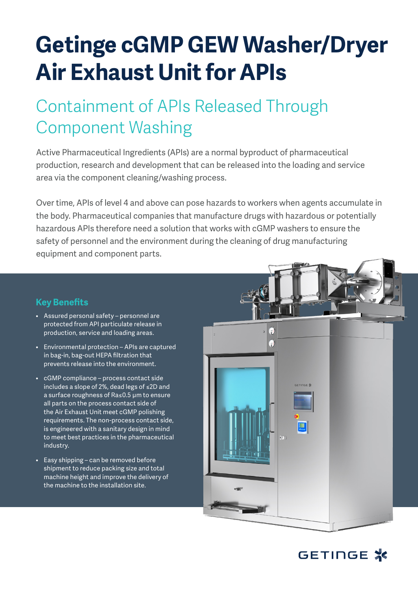# **Getinge cGMP GEW Washer/Dryer Air Exhaust Unit for APIs**

## Containment of APIs Released Through Component Washing

Active Pharmaceutical Ingredients (APIs) are a normal byproduct of pharmaceutical production, research and development that can be released into the loading and service area via the component cleaning/washing process.

Over time, APIs of level 4 and above can pose hazards to workers when agents accumulate in the body. Pharmaceutical companies that manufacture drugs with hazardous or potentially hazardous APIs therefore need a solution that works with cGMP washers to ensure the safety of personnel and the environment during the cleaning of drug manufacturing equipment and component parts.

## **Key Benefits**

- Assured personal safety personnel are protected from API particulate release in production, service and loading areas.
- Environmental protection APIs are captured in bag-in, bag-out HEPA filtration that prevents release into the environment.
- cGMP compliance process contact side includes a slope of 2%, dead legs of ≤2D and a surface roughness of Ra≤0.5 μm to ensure all parts on the process contact side of the Air Exhaust Unit meet cGMP polishing requirements. The non-process contact side, is engineered with a sanitary design in mind to meet best practices in the pharmaceutical industry.
- Easy shipping can be removed before shipment to reduce packing size and total machine height and improve the delivery of the machine to the installation site.